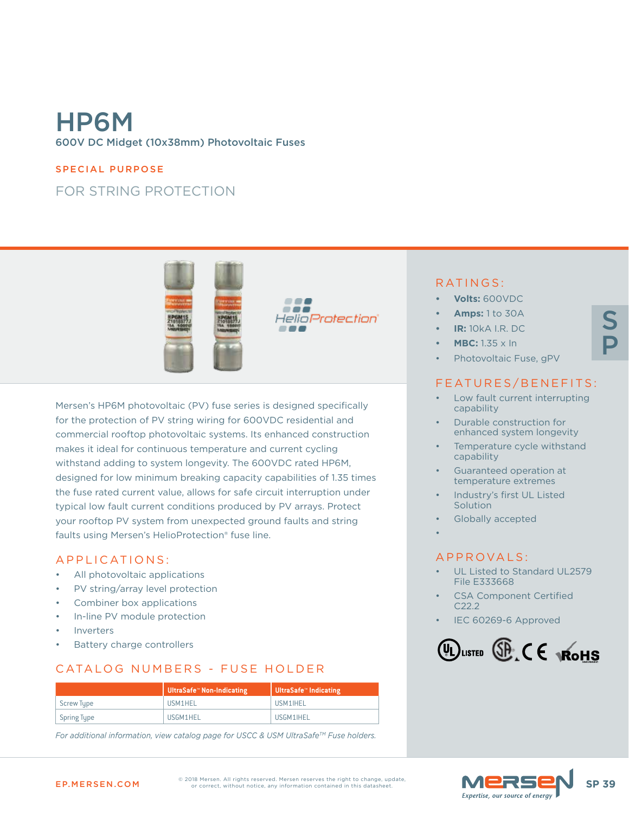# HP6M 600V DC Midget (10x38mm) Photovoltaic Fuses

#### SPECIAL PURPOSE

## FOR STRING PROTECTION



Mersen's HP6M photovoltaic (PV) fuse series is designed specifically for the protection of PV string wiring for 600VDC residential and commercial rooftop photovoltaic systems. Its enhanced construction makes it ideal for continuous temperature and current cycling withstand adding to system longevity. The 600VDC rated HP6M, designed for low minimum breaking capacity capabilities of 1.35 times the fuse rated current value, allows for safe circuit interruption under typical low fault current conditions produced by PV arrays. Protect your rooftop PV system from unexpected ground faults and string faults using Mersen's HelioProtection® fuse line.

#### APPLICATIONS:

- All photovoltaic applications
- PV string/array level protection
- Combiner box applications
- In-line PV module protection
- **Inverters**
- Battery charge controllers

## CATALOG NUMBERS - FUSE HOLDER

|             | │ UltraSafe <sup>™</sup> Non-Indicating | │ UltraSafe™ Indicating |  |  |
|-------------|-----------------------------------------|-------------------------|--|--|
| Screw Type  | USM1HEL                                 | USM1IHEL                |  |  |
| Spring Type | USGM1HEL                                | USGM1IHEL               |  |  |

*For additional information, view catalog page for USCC & USM UltraSafeTM Fuse holders.*

#### RATINGS:

- **• Volts:** 600VDC
- **• Amps:** 1 to 30A
- **• IR:** 10kA I.R. DC
- **• MBC:** 1.35 x In
- Photovoltaic Fuse, gPV

### FEATURES/BENEFITS:

- Low fault current interrupting capability
- Durable construction for enhanced system longevity
- Temperature cycle withstand capability
- Guaranteed operation at temperature extremes
- Industry's first UL Listed **Solution**
- Globally accepted
- •

#### APPROVALS:

- UL Listed to Standard UL2579 File E333668
- CSA Component Certified C22.2
- IEC 60269-6 Approved







S

P